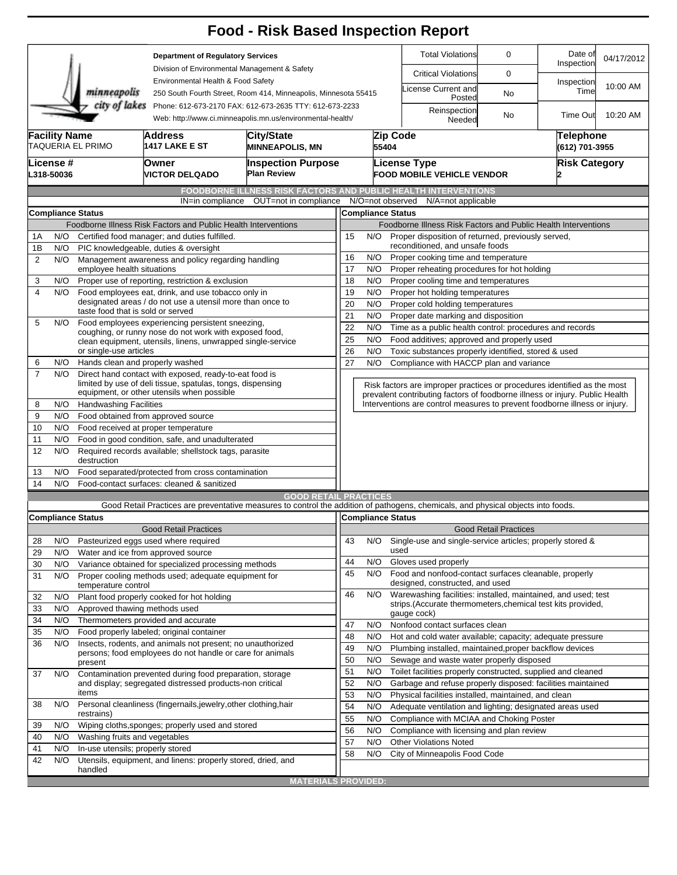| <b>Total Violations</b><br>0<br>Date of<br><b>Department of Regulatory Services</b><br>Inspection<br>Division of Environmental Management & Safety<br><b>Critical Violations</b><br>0<br>Environmental Health & Food Safety<br>Inspection<br>10:00 AM<br>icense Current and<br>minneapolis<br>Time<br>250 South Fourth Street, Room 414, Minneapolis, Minnesota 55415<br>No<br>Posted<br>city of lakes<br>Phone: 612-673-2170 FAX: 612-673-2635 TTY: 612-673-2233<br>Reinspection<br>Time Out<br>10:20 AM<br>No<br>Web: http://www.ci.minneapolis.mn.us/environmental-health/<br>Needed<br>Zip Code<br><b>Facility Name</b><br><b>Telephone</b><br><b>Address</b><br><b>City/State</b><br><b>TAQUERIA EL PRIMO</b><br>1417 LAKE E ST<br>55404<br>(612) 701-3955<br><b>MINNEAPOLIS, MN</b><br><b>Risk Category</b><br>License #<br><b>Owner</b><br><b>Inspection Purpose</b><br><b>License Type</b><br><b>Plan Review</b><br>FOOD MOBILE VEHICLE VENDOR<br>L318-50036<br><b>VICTOR DELQADO</b><br><b>FOODBORNE ILLNESS RISK FACTORS AND PUBLIC HEALTH INTERVENTIONS</b><br>OUT=not in compliance<br>N/O=not observed<br>IN=in compliance<br>N/A=not applicable<br><b>Compliance Status</b><br><b>Compliance Status</b><br>Foodborne Illness Risk Factors and Public Health Interventions<br>Foodborne Illness Risk Factors and Public Health Interventions<br>Certified food manager; and duties fulfilled.<br>Proper disposition of returned, previously served,<br>N/O<br>15<br>N/O<br>1Α<br>reconditioned, and unsafe foods<br>1B<br>N/O<br>PIC knowledgeable, duties & oversight<br>N/O<br>16<br>Proper cooking time and temperature<br>$\overline{2}$<br>N/O<br>Management awareness and policy regarding handling<br>employee health situations<br>17<br>N/O<br>Proper reheating procedures for hot holding<br>3<br>N/O<br>Proper use of reporting, restriction & exclusion<br>18<br>N/O<br>Proper cooling time and temperatures<br>$\overline{\mathbf{4}}$<br>Food employees eat, drink, and use tobacco only in<br>19<br>N/O<br>N/O<br>Proper hot holding temperatures<br>designated areas / do not use a utensil more than once to<br>20<br>N/O<br>Proper cold holding temperatures<br>taste food that is sold or served<br>21<br>N/O<br>Proper date marking and disposition<br>5<br>N/O<br>Food employees experiencing persistent sneezing,<br>22<br>N/O<br>Time as a public health control: procedures and records<br>coughing, or runny nose do not work with exposed food,<br>25<br>N/O<br>Food additives; approved and properly used<br>clean equipment, utensils, linens, unwrapped single-service<br>or single-use articles<br>26<br>N/O<br>Toxic substances properly identified, stored & used<br>Hands clean and properly washed<br>27<br>N/O<br>Compliance with HACCP plan and variance<br>6<br>N/O<br>$\overline{7}$<br>Direct hand contact with exposed, ready-to-eat food is<br>N/O<br>limited by use of deli tissue, spatulas, tongs, dispensing<br>Risk factors are improper practices or procedures identified as the most<br>equipment, or other utensils when possible<br>prevalent contributing factors of foodborne illness or injury. Public Health<br>Interventions are control measures to prevent foodborne illness or injury.<br><b>Handwashing Facilities</b><br>8<br>N/O<br>9<br>N/O<br>Food obtained from approved source<br>N/O<br>Food received at proper temperature<br>10<br>N/O<br>Food in good condition, safe, and unadulterated<br>11<br>12<br>Required records available; shellstock tags, parasite<br>N/O<br>destruction<br>N/O<br>Food separated/protected from cross contamination<br>13<br>N/O<br>Food-contact surfaces: cleaned & sanitized<br>14<br><b>GOOD RETAIL PRACTICES</b><br>Good Retail Practices are preventative measures to control the addition of pathogens, chemicals, and physical objects into foods.<br>Compliance Status<br><b>Compliance Status</b><br><b>Good Retail Practices</b><br><b>Good Retail Practices</b><br>Single-use and single-service articles; properly stored &<br>N/O<br>Pasteurized eggs used where required<br>43<br>28<br>N/O<br>used<br>29<br>N/O<br>Water and ice from approved source<br>44<br>N/O<br>Gloves used properly<br>30<br>N/O<br>Variance obtained for specialized processing methods<br>45<br>N/O<br>Food and nonfood-contact surfaces cleanable, properly<br>31<br>N/O<br>Proper cooling methods used; adequate equipment for<br>designed, constructed, and used<br>temperature control<br>46<br>N/O<br>Warewashing facilities: installed, maintained, and used; test<br>32<br>N/O<br>Plant food properly cooked for hot holding<br>strips. (Accurate thermometers, chemical test kits provided,<br>33<br>N/O<br>Approved thawing methods used<br>gauge cock)<br>34<br>N/O<br>Thermometers provided and accurate<br>Nonfood contact surfaces clean<br>47<br>N/O<br>35<br>N/O<br>Food properly labeled; original container<br>48<br>N/O<br>Hot and cold water available; capacity; adequate pressure<br>36<br>N/O<br>Insects, rodents, and animals not present; no unauthorized<br>49<br>N/O<br>Plumbing installed, maintained, proper backflow devices<br>persons; food employees do not handle or care for animals<br>50<br>N/O<br>Sewage and waste water properly disposed<br>present<br>51<br>N/O<br>Toilet facilities properly constructed, supplied and cleaned<br>37<br>N/O<br>Contamination prevented during food preparation, storage<br>52<br>N/O<br>Garbage and refuse properly disposed: facilities maintained<br>and display; segregated distressed products-non critical<br>items<br>53<br>N/O<br>Physical facilities installed, maintained, and clean<br>N/O<br>Personal cleanliness (fingernails, jewelry, other clothing, hair<br>38<br>54<br>N/O<br>Adequate ventilation and lighting; designated areas used<br>restrains)<br>55<br>N/O<br>Compliance with MCIAA and Choking Poster<br>N/O<br>Wiping cloths, sponges; properly used and stored<br>39<br>56<br>N/O<br>Compliance with licensing and plan review<br>40<br>N/O<br>Washing fruits and vegetables<br>57<br>N/O<br><b>Other Violations Noted</b><br>41<br>N/O<br>In-use utensils; properly stored<br>58<br>N/O<br>City of Minneapolis Food Code<br>42<br>N/O<br>Utensils, equipment, and linens: properly stored, dried, and<br>handled<br><b>MATERIALS PROVIDED:</b> |  |  |  |  | <b>Food - Risk Based Inspection Report</b> |  |  |  |  |  |            |  |  |
|------------------------------------------------------------------------------------------------------------------------------------------------------------------------------------------------------------------------------------------------------------------------------------------------------------------------------------------------------------------------------------------------------------------------------------------------------------------------------------------------------------------------------------------------------------------------------------------------------------------------------------------------------------------------------------------------------------------------------------------------------------------------------------------------------------------------------------------------------------------------------------------------------------------------------------------------------------------------------------------------------------------------------------------------------------------------------------------------------------------------------------------------------------------------------------------------------------------------------------------------------------------------------------------------------------------------------------------------------------------------------------------------------------------------------------------------------------------------------------------------------------------------------------------------------------------------------------------------------------------------------------------------------------------------------------------------------------------------------------------------------------------------------------------------------------------------------------------------------------------------------------------------------------------------------------------------------------------------------------------------------------------------------------------------------------------------------------------------------------------------------------------------------------------------------------------------------------------------------------------------------------------------------------------------------------------------------------------------------------------------------------------------------------------------------------------------------------------------------------------------------------------------------------------------------------------------------------------------------------------------------------------------------------------------------------------------------------------------------------------------------------------------------------------------------------------------------------------------------------------------------------------------------------------------------------------------------------------------------------------------------------------------------------------------------------------------------------------------------------------------------------------------------------------------------------------------------------------------------------------------------------------------------------------------------------------------------------------------------------------------------------------------------------------------------------------------------------------------------------------------------------------------------------------------------------------------------------------------------------------------------------------------------------------------------------------------------------------------------------------------------------------------------------------------------------------------------------------------------------------------------------------------------------------------------------------------------------------------------------------------------------------------------------------------------------------------------------------------------------------------------------------------------------------------------------------------------------------------------------------------------------------------------------------------------------------------------------------------------------------------------------------------------------------------------------------------------------------------------------------------------------------------------------------------------------------------------------------------------------------------------------------------------------------------------------------------------------------------------------------------------------------------------------------------------------------------------------------------------------------------------------------------------------------------------------------------------------------------------------------------------------------------------------------------------------------------------------------------------------------------------------------------------------------------------------------------------------------------------------------------------------------------------------------------------------------------------------------------------------------------------------------------------------------------------------------------------------------------------------------------------------------------------------------------------------------------------------------------------------------------------------------------------------------------------------------------------------------------------------------------------------------------------------------------------------------------------------------------------------------------------------------------------------------------------------------------------------------------------------------------------------------------------------------------------------------------------------------------------------------------------------------------------------------------------------------------------------------------------------------------------------------------------------------------------------------------------------------------------------|--|--|--|--|--------------------------------------------|--|--|--|--|--|------------|--|--|
|                                                                                                                                                                                                                                                                                                                                                                                                                                                                                                                                                                                                                                                                                                                                                                                                                                                                                                                                                                                                                                                                                                                                                                                                                                                                                                                                                                                                                                                                                                                                                                                                                                                                                                                                                                                                                                                                                                                                                                                                                                                                                                                                                                                                                                                                                                                                                                                                                                                                                                                                                                                                                                                                                                                                                                                                                                                                                                                                                                                                                                                                                                                                                                                                                                                                                                                                                                                                                                                                                                                                                                                                                                                                                                                                                                                                                                                                                                                                                                                                                                                                                                                                                                                                                                                                                                                                                                                                                                                                                                                                                                                                                                                                                                                                                                                                                                                                                                                                                                                                                                                                                                                                                                                                                                                                                                                                                                                                                                                                                                                                                                                                                                                                                                                                                                                                                                                                                                                                                                                                                                                                                                                                                                                                                                                                                                                                                            |  |  |  |  |                                            |  |  |  |  |  | 04/17/2012 |  |  |
|                                                                                                                                                                                                                                                                                                                                                                                                                                                                                                                                                                                                                                                                                                                                                                                                                                                                                                                                                                                                                                                                                                                                                                                                                                                                                                                                                                                                                                                                                                                                                                                                                                                                                                                                                                                                                                                                                                                                                                                                                                                                                                                                                                                                                                                                                                                                                                                                                                                                                                                                                                                                                                                                                                                                                                                                                                                                                                                                                                                                                                                                                                                                                                                                                                                                                                                                                                                                                                                                                                                                                                                                                                                                                                                                                                                                                                                                                                                                                                                                                                                                                                                                                                                                                                                                                                                                                                                                                                                                                                                                                                                                                                                                                                                                                                                                                                                                                                                                                                                                                                                                                                                                                                                                                                                                                                                                                                                                                                                                                                                                                                                                                                                                                                                                                                                                                                                                                                                                                                                                                                                                                                                                                                                                                                                                                                                                                            |  |  |  |  |                                            |  |  |  |  |  |            |  |  |
|                                                                                                                                                                                                                                                                                                                                                                                                                                                                                                                                                                                                                                                                                                                                                                                                                                                                                                                                                                                                                                                                                                                                                                                                                                                                                                                                                                                                                                                                                                                                                                                                                                                                                                                                                                                                                                                                                                                                                                                                                                                                                                                                                                                                                                                                                                                                                                                                                                                                                                                                                                                                                                                                                                                                                                                                                                                                                                                                                                                                                                                                                                                                                                                                                                                                                                                                                                                                                                                                                                                                                                                                                                                                                                                                                                                                                                                                                                                                                                                                                                                                                                                                                                                                                                                                                                                                                                                                                                                                                                                                                                                                                                                                                                                                                                                                                                                                                                                                                                                                                                                                                                                                                                                                                                                                                                                                                                                                                                                                                                                                                                                                                                                                                                                                                                                                                                                                                                                                                                                                                                                                                                                                                                                                                                                                                                                                                            |  |  |  |  |                                            |  |  |  |  |  |            |  |  |
|                                                                                                                                                                                                                                                                                                                                                                                                                                                                                                                                                                                                                                                                                                                                                                                                                                                                                                                                                                                                                                                                                                                                                                                                                                                                                                                                                                                                                                                                                                                                                                                                                                                                                                                                                                                                                                                                                                                                                                                                                                                                                                                                                                                                                                                                                                                                                                                                                                                                                                                                                                                                                                                                                                                                                                                                                                                                                                                                                                                                                                                                                                                                                                                                                                                                                                                                                                                                                                                                                                                                                                                                                                                                                                                                                                                                                                                                                                                                                                                                                                                                                                                                                                                                                                                                                                                                                                                                                                                                                                                                                                                                                                                                                                                                                                                                                                                                                                                                                                                                                                                                                                                                                                                                                                                                                                                                                                                                                                                                                                                                                                                                                                                                                                                                                                                                                                                                                                                                                                                                                                                                                                                                                                                                                                                                                                                                                            |  |  |  |  |                                            |  |  |  |  |  |            |  |  |
|                                                                                                                                                                                                                                                                                                                                                                                                                                                                                                                                                                                                                                                                                                                                                                                                                                                                                                                                                                                                                                                                                                                                                                                                                                                                                                                                                                                                                                                                                                                                                                                                                                                                                                                                                                                                                                                                                                                                                                                                                                                                                                                                                                                                                                                                                                                                                                                                                                                                                                                                                                                                                                                                                                                                                                                                                                                                                                                                                                                                                                                                                                                                                                                                                                                                                                                                                                                                                                                                                                                                                                                                                                                                                                                                                                                                                                                                                                                                                                                                                                                                                                                                                                                                                                                                                                                                                                                                                                                                                                                                                                                                                                                                                                                                                                                                                                                                                                                                                                                                                                                                                                                                                                                                                                                                                                                                                                                                                                                                                                                                                                                                                                                                                                                                                                                                                                                                                                                                                                                                                                                                                                                                                                                                                                                                                                                                                            |  |  |  |  |                                            |  |  |  |  |  |            |  |  |
|                                                                                                                                                                                                                                                                                                                                                                                                                                                                                                                                                                                                                                                                                                                                                                                                                                                                                                                                                                                                                                                                                                                                                                                                                                                                                                                                                                                                                                                                                                                                                                                                                                                                                                                                                                                                                                                                                                                                                                                                                                                                                                                                                                                                                                                                                                                                                                                                                                                                                                                                                                                                                                                                                                                                                                                                                                                                                                                                                                                                                                                                                                                                                                                                                                                                                                                                                                                                                                                                                                                                                                                                                                                                                                                                                                                                                                                                                                                                                                                                                                                                                                                                                                                                                                                                                                                                                                                                                                                                                                                                                                                                                                                                                                                                                                                                                                                                                                                                                                                                                                                                                                                                                                                                                                                                                                                                                                                                                                                                                                                                                                                                                                                                                                                                                                                                                                                                                                                                                                                                                                                                                                                                                                                                                                                                                                                                                            |  |  |  |  |                                            |  |  |  |  |  |            |  |  |
|                                                                                                                                                                                                                                                                                                                                                                                                                                                                                                                                                                                                                                                                                                                                                                                                                                                                                                                                                                                                                                                                                                                                                                                                                                                                                                                                                                                                                                                                                                                                                                                                                                                                                                                                                                                                                                                                                                                                                                                                                                                                                                                                                                                                                                                                                                                                                                                                                                                                                                                                                                                                                                                                                                                                                                                                                                                                                                                                                                                                                                                                                                                                                                                                                                                                                                                                                                                                                                                                                                                                                                                                                                                                                                                                                                                                                                                                                                                                                                                                                                                                                                                                                                                                                                                                                                                                                                                                                                                                                                                                                                                                                                                                                                                                                                                                                                                                                                                                                                                                                                                                                                                                                                                                                                                                                                                                                                                                                                                                                                                                                                                                                                                                                                                                                                                                                                                                                                                                                                                                                                                                                                                                                                                                                                                                                                                                                            |  |  |  |  |                                            |  |  |  |  |  |            |  |  |
|                                                                                                                                                                                                                                                                                                                                                                                                                                                                                                                                                                                                                                                                                                                                                                                                                                                                                                                                                                                                                                                                                                                                                                                                                                                                                                                                                                                                                                                                                                                                                                                                                                                                                                                                                                                                                                                                                                                                                                                                                                                                                                                                                                                                                                                                                                                                                                                                                                                                                                                                                                                                                                                                                                                                                                                                                                                                                                                                                                                                                                                                                                                                                                                                                                                                                                                                                                                                                                                                                                                                                                                                                                                                                                                                                                                                                                                                                                                                                                                                                                                                                                                                                                                                                                                                                                                                                                                                                                                                                                                                                                                                                                                                                                                                                                                                                                                                                                                                                                                                                                                                                                                                                                                                                                                                                                                                                                                                                                                                                                                                                                                                                                                                                                                                                                                                                                                                                                                                                                                                                                                                                                                                                                                                                                                                                                                                                            |  |  |  |  |                                            |  |  |  |  |  |            |  |  |
|                                                                                                                                                                                                                                                                                                                                                                                                                                                                                                                                                                                                                                                                                                                                                                                                                                                                                                                                                                                                                                                                                                                                                                                                                                                                                                                                                                                                                                                                                                                                                                                                                                                                                                                                                                                                                                                                                                                                                                                                                                                                                                                                                                                                                                                                                                                                                                                                                                                                                                                                                                                                                                                                                                                                                                                                                                                                                                                                                                                                                                                                                                                                                                                                                                                                                                                                                                                                                                                                                                                                                                                                                                                                                                                                                                                                                                                                                                                                                                                                                                                                                                                                                                                                                                                                                                                                                                                                                                                                                                                                                                                                                                                                                                                                                                                                                                                                                                                                                                                                                                                                                                                                                                                                                                                                                                                                                                                                                                                                                                                                                                                                                                                                                                                                                                                                                                                                                                                                                                                                                                                                                                                                                                                                                                                                                                                                                            |  |  |  |  |                                            |  |  |  |  |  |            |  |  |
|                                                                                                                                                                                                                                                                                                                                                                                                                                                                                                                                                                                                                                                                                                                                                                                                                                                                                                                                                                                                                                                                                                                                                                                                                                                                                                                                                                                                                                                                                                                                                                                                                                                                                                                                                                                                                                                                                                                                                                                                                                                                                                                                                                                                                                                                                                                                                                                                                                                                                                                                                                                                                                                                                                                                                                                                                                                                                                                                                                                                                                                                                                                                                                                                                                                                                                                                                                                                                                                                                                                                                                                                                                                                                                                                                                                                                                                                                                                                                                                                                                                                                                                                                                                                                                                                                                                                                                                                                                                                                                                                                                                                                                                                                                                                                                                                                                                                                                                                                                                                                                                                                                                                                                                                                                                                                                                                                                                                                                                                                                                                                                                                                                                                                                                                                                                                                                                                                                                                                                                                                                                                                                                                                                                                                                                                                                                                                            |  |  |  |  |                                            |  |  |  |  |  |            |  |  |
|                                                                                                                                                                                                                                                                                                                                                                                                                                                                                                                                                                                                                                                                                                                                                                                                                                                                                                                                                                                                                                                                                                                                                                                                                                                                                                                                                                                                                                                                                                                                                                                                                                                                                                                                                                                                                                                                                                                                                                                                                                                                                                                                                                                                                                                                                                                                                                                                                                                                                                                                                                                                                                                                                                                                                                                                                                                                                                                                                                                                                                                                                                                                                                                                                                                                                                                                                                                                                                                                                                                                                                                                                                                                                                                                                                                                                                                                                                                                                                                                                                                                                                                                                                                                                                                                                                                                                                                                                                                                                                                                                                                                                                                                                                                                                                                                                                                                                                                                                                                                                                                                                                                                                                                                                                                                                                                                                                                                                                                                                                                                                                                                                                                                                                                                                                                                                                                                                                                                                                                                                                                                                                                                                                                                                                                                                                                                                            |  |  |  |  |                                            |  |  |  |  |  |            |  |  |
|                                                                                                                                                                                                                                                                                                                                                                                                                                                                                                                                                                                                                                                                                                                                                                                                                                                                                                                                                                                                                                                                                                                                                                                                                                                                                                                                                                                                                                                                                                                                                                                                                                                                                                                                                                                                                                                                                                                                                                                                                                                                                                                                                                                                                                                                                                                                                                                                                                                                                                                                                                                                                                                                                                                                                                                                                                                                                                                                                                                                                                                                                                                                                                                                                                                                                                                                                                                                                                                                                                                                                                                                                                                                                                                                                                                                                                                                                                                                                                                                                                                                                                                                                                                                                                                                                                                                                                                                                                                                                                                                                                                                                                                                                                                                                                                                                                                                                                                                                                                                                                                                                                                                                                                                                                                                                                                                                                                                                                                                                                                                                                                                                                                                                                                                                                                                                                                                                                                                                                                                                                                                                                                                                                                                                                                                                                                                                            |  |  |  |  |                                            |  |  |  |  |  |            |  |  |
|                                                                                                                                                                                                                                                                                                                                                                                                                                                                                                                                                                                                                                                                                                                                                                                                                                                                                                                                                                                                                                                                                                                                                                                                                                                                                                                                                                                                                                                                                                                                                                                                                                                                                                                                                                                                                                                                                                                                                                                                                                                                                                                                                                                                                                                                                                                                                                                                                                                                                                                                                                                                                                                                                                                                                                                                                                                                                                                                                                                                                                                                                                                                                                                                                                                                                                                                                                                                                                                                                                                                                                                                                                                                                                                                                                                                                                                                                                                                                                                                                                                                                                                                                                                                                                                                                                                                                                                                                                                                                                                                                                                                                                                                                                                                                                                                                                                                                                                                                                                                                                                                                                                                                                                                                                                                                                                                                                                                                                                                                                                                                                                                                                                                                                                                                                                                                                                                                                                                                                                                                                                                                                                                                                                                                                                                                                                                                            |  |  |  |  |                                            |  |  |  |  |  |            |  |  |
|                                                                                                                                                                                                                                                                                                                                                                                                                                                                                                                                                                                                                                                                                                                                                                                                                                                                                                                                                                                                                                                                                                                                                                                                                                                                                                                                                                                                                                                                                                                                                                                                                                                                                                                                                                                                                                                                                                                                                                                                                                                                                                                                                                                                                                                                                                                                                                                                                                                                                                                                                                                                                                                                                                                                                                                                                                                                                                                                                                                                                                                                                                                                                                                                                                                                                                                                                                                                                                                                                                                                                                                                                                                                                                                                                                                                                                                                                                                                                                                                                                                                                                                                                                                                                                                                                                                                                                                                                                                                                                                                                                                                                                                                                                                                                                                                                                                                                                                                                                                                                                                                                                                                                                                                                                                                                                                                                                                                                                                                                                                                                                                                                                                                                                                                                                                                                                                                                                                                                                                                                                                                                                                                                                                                                                                                                                                                                            |  |  |  |  |                                            |  |  |  |  |  |            |  |  |
|                                                                                                                                                                                                                                                                                                                                                                                                                                                                                                                                                                                                                                                                                                                                                                                                                                                                                                                                                                                                                                                                                                                                                                                                                                                                                                                                                                                                                                                                                                                                                                                                                                                                                                                                                                                                                                                                                                                                                                                                                                                                                                                                                                                                                                                                                                                                                                                                                                                                                                                                                                                                                                                                                                                                                                                                                                                                                                                                                                                                                                                                                                                                                                                                                                                                                                                                                                                                                                                                                                                                                                                                                                                                                                                                                                                                                                                                                                                                                                                                                                                                                                                                                                                                                                                                                                                                                                                                                                                                                                                                                                                                                                                                                                                                                                                                                                                                                                                                                                                                                                                                                                                                                                                                                                                                                                                                                                                                                                                                                                                                                                                                                                                                                                                                                                                                                                                                                                                                                                                                                                                                                                                                                                                                                                                                                                                                                            |  |  |  |  |                                            |  |  |  |  |  |            |  |  |
|                                                                                                                                                                                                                                                                                                                                                                                                                                                                                                                                                                                                                                                                                                                                                                                                                                                                                                                                                                                                                                                                                                                                                                                                                                                                                                                                                                                                                                                                                                                                                                                                                                                                                                                                                                                                                                                                                                                                                                                                                                                                                                                                                                                                                                                                                                                                                                                                                                                                                                                                                                                                                                                                                                                                                                                                                                                                                                                                                                                                                                                                                                                                                                                                                                                                                                                                                                                                                                                                                                                                                                                                                                                                                                                                                                                                                                                                                                                                                                                                                                                                                                                                                                                                                                                                                                                                                                                                                                                                                                                                                                                                                                                                                                                                                                                                                                                                                                                                                                                                                                                                                                                                                                                                                                                                                                                                                                                                                                                                                                                                                                                                                                                                                                                                                                                                                                                                                                                                                                                                                                                                                                                                                                                                                                                                                                                                                            |  |  |  |  |                                            |  |  |  |  |  |            |  |  |
|                                                                                                                                                                                                                                                                                                                                                                                                                                                                                                                                                                                                                                                                                                                                                                                                                                                                                                                                                                                                                                                                                                                                                                                                                                                                                                                                                                                                                                                                                                                                                                                                                                                                                                                                                                                                                                                                                                                                                                                                                                                                                                                                                                                                                                                                                                                                                                                                                                                                                                                                                                                                                                                                                                                                                                                                                                                                                                                                                                                                                                                                                                                                                                                                                                                                                                                                                                                                                                                                                                                                                                                                                                                                                                                                                                                                                                                                                                                                                                                                                                                                                                                                                                                                                                                                                                                                                                                                                                                                                                                                                                                                                                                                                                                                                                                                                                                                                                                                                                                                                                                                                                                                                                                                                                                                                                                                                                                                                                                                                                                                                                                                                                                                                                                                                                                                                                                                                                                                                                                                                                                                                                                                                                                                                                                                                                                                                            |  |  |  |  |                                            |  |  |  |  |  |            |  |  |
|                                                                                                                                                                                                                                                                                                                                                                                                                                                                                                                                                                                                                                                                                                                                                                                                                                                                                                                                                                                                                                                                                                                                                                                                                                                                                                                                                                                                                                                                                                                                                                                                                                                                                                                                                                                                                                                                                                                                                                                                                                                                                                                                                                                                                                                                                                                                                                                                                                                                                                                                                                                                                                                                                                                                                                                                                                                                                                                                                                                                                                                                                                                                                                                                                                                                                                                                                                                                                                                                                                                                                                                                                                                                                                                                                                                                                                                                                                                                                                                                                                                                                                                                                                                                                                                                                                                                                                                                                                                                                                                                                                                                                                                                                                                                                                                                                                                                                                                                                                                                                                                                                                                                                                                                                                                                                                                                                                                                                                                                                                                                                                                                                                                                                                                                                                                                                                                                                                                                                                                                                                                                                                                                                                                                                                                                                                                                                            |  |  |  |  |                                            |  |  |  |  |  |            |  |  |
|                                                                                                                                                                                                                                                                                                                                                                                                                                                                                                                                                                                                                                                                                                                                                                                                                                                                                                                                                                                                                                                                                                                                                                                                                                                                                                                                                                                                                                                                                                                                                                                                                                                                                                                                                                                                                                                                                                                                                                                                                                                                                                                                                                                                                                                                                                                                                                                                                                                                                                                                                                                                                                                                                                                                                                                                                                                                                                                                                                                                                                                                                                                                                                                                                                                                                                                                                                                                                                                                                                                                                                                                                                                                                                                                                                                                                                                                                                                                                                                                                                                                                                                                                                                                                                                                                                                                                                                                                                                                                                                                                                                                                                                                                                                                                                                                                                                                                                                                                                                                                                                                                                                                                                                                                                                                                                                                                                                                                                                                                                                                                                                                                                                                                                                                                                                                                                                                                                                                                                                                                                                                                                                                                                                                                                                                                                                                                            |  |  |  |  |                                            |  |  |  |  |  |            |  |  |
|                                                                                                                                                                                                                                                                                                                                                                                                                                                                                                                                                                                                                                                                                                                                                                                                                                                                                                                                                                                                                                                                                                                                                                                                                                                                                                                                                                                                                                                                                                                                                                                                                                                                                                                                                                                                                                                                                                                                                                                                                                                                                                                                                                                                                                                                                                                                                                                                                                                                                                                                                                                                                                                                                                                                                                                                                                                                                                                                                                                                                                                                                                                                                                                                                                                                                                                                                                                                                                                                                                                                                                                                                                                                                                                                                                                                                                                                                                                                                                                                                                                                                                                                                                                                                                                                                                                                                                                                                                                                                                                                                                                                                                                                                                                                                                                                                                                                                                                                                                                                                                                                                                                                                                                                                                                                                                                                                                                                                                                                                                                                                                                                                                                                                                                                                                                                                                                                                                                                                                                                                                                                                                                                                                                                                                                                                                                                                            |  |  |  |  |                                            |  |  |  |  |  |            |  |  |
|                                                                                                                                                                                                                                                                                                                                                                                                                                                                                                                                                                                                                                                                                                                                                                                                                                                                                                                                                                                                                                                                                                                                                                                                                                                                                                                                                                                                                                                                                                                                                                                                                                                                                                                                                                                                                                                                                                                                                                                                                                                                                                                                                                                                                                                                                                                                                                                                                                                                                                                                                                                                                                                                                                                                                                                                                                                                                                                                                                                                                                                                                                                                                                                                                                                                                                                                                                                                                                                                                                                                                                                                                                                                                                                                                                                                                                                                                                                                                                                                                                                                                                                                                                                                                                                                                                                                                                                                                                                                                                                                                                                                                                                                                                                                                                                                                                                                                                                                                                                                                                                                                                                                                                                                                                                                                                                                                                                                                                                                                                                                                                                                                                                                                                                                                                                                                                                                                                                                                                                                                                                                                                                                                                                                                                                                                                                                                            |  |  |  |  |                                            |  |  |  |  |  |            |  |  |
|                                                                                                                                                                                                                                                                                                                                                                                                                                                                                                                                                                                                                                                                                                                                                                                                                                                                                                                                                                                                                                                                                                                                                                                                                                                                                                                                                                                                                                                                                                                                                                                                                                                                                                                                                                                                                                                                                                                                                                                                                                                                                                                                                                                                                                                                                                                                                                                                                                                                                                                                                                                                                                                                                                                                                                                                                                                                                                                                                                                                                                                                                                                                                                                                                                                                                                                                                                                                                                                                                                                                                                                                                                                                                                                                                                                                                                                                                                                                                                                                                                                                                                                                                                                                                                                                                                                                                                                                                                                                                                                                                                                                                                                                                                                                                                                                                                                                                                                                                                                                                                                                                                                                                                                                                                                                                                                                                                                                                                                                                                                                                                                                                                                                                                                                                                                                                                                                                                                                                                                                                                                                                                                                                                                                                                                                                                                                                            |  |  |  |  |                                            |  |  |  |  |  |            |  |  |
|                                                                                                                                                                                                                                                                                                                                                                                                                                                                                                                                                                                                                                                                                                                                                                                                                                                                                                                                                                                                                                                                                                                                                                                                                                                                                                                                                                                                                                                                                                                                                                                                                                                                                                                                                                                                                                                                                                                                                                                                                                                                                                                                                                                                                                                                                                                                                                                                                                                                                                                                                                                                                                                                                                                                                                                                                                                                                                                                                                                                                                                                                                                                                                                                                                                                                                                                                                                                                                                                                                                                                                                                                                                                                                                                                                                                                                                                                                                                                                                                                                                                                                                                                                                                                                                                                                                                                                                                                                                                                                                                                                                                                                                                                                                                                                                                                                                                                                                                                                                                                                                                                                                                                                                                                                                                                                                                                                                                                                                                                                                                                                                                                                                                                                                                                                                                                                                                                                                                                                                                                                                                                                                                                                                                                                                                                                                                                            |  |  |  |  |                                            |  |  |  |  |  |            |  |  |
|                                                                                                                                                                                                                                                                                                                                                                                                                                                                                                                                                                                                                                                                                                                                                                                                                                                                                                                                                                                                                                                                                                                                                                                                                                                                                                                                                                                                                                                                                                                                                                                                                                                                                                                                                                                                                                                                                                                                                                                                                                                                                                                                                                                                                                                                                                                                                                                                                                                                                                                                                                                                                                                                                                                                                                                                                                                                                                                                                                                                                                                                                                                                                                                                                                                                                                                                                                                                                                                                                                                                                                                                                                                                                                                                                                                                                                                                                                                                                                                                                                                                                                                                                                                                                                                                                                                                                                                                                                                                                                                                                                                                                                                                                                                                                                                                                                                                                                                                                                                                                                                                                                                                                                                                                                                                                                                                                                                                                                                                                                                                                                                                                                                                                                                                                                                                                                                                                                                                                                                                                                                                                                                                                                                                                                                                                                                                                            |  |  |  |  |                                            |  |  |  |  |  |            |  |  |
|                                                                                                                                                                                                                                                                                                                                                                                                                                                                                                                                                                                                                                                                                                                                                                                                                                                                                                                                                                                                                                                                                                                                                                                                                                                                                                                                                                                                                                                                                                                                                                                                                                                                                                                                                                                                                                                                                                                                                                                                                                                                                                                                                                                                                                                                                                                                                                                                                                                                                                                                                                                                                                                                                                                                                                                                                                                                                                                                                                                                                                                                                                                                                                                                                                                                                                                                                                                                                                                                                                                                                                                                                                                                                                                                                                                                                                                                                                                                                                                                                                                                                                                                                                                                                                                                                                                                                                                                                                                                                                                                                                                                                                                                                                                                                                                                                                                                                                                                                                                                                                                                                                                                                                                                                                                                                                                                                                                                                                                                                                                                                                                                                                                                                                                                                                                                                                                                                                                                                                                                                                                                                                                                                                                                                                                                                                                                                            |  |  |  |  |                                            |  |  |  |  |  |            |  |  |
|                                                                                                                                                                                                                                                                                                                                                                                                                                                                                                                                                                                                                                                                                                                                                                                                                                                                                                                                                                                                                                                                                                                                                                                                                                                                                                                                                                                                                                                                                                                                                                                                                                                                                                                                                                                                                                                                                                                                                                                                                                                                                                                                                                                                                                                                                                                                                                                                                                                                                                                                                                                                                                                                                                                                                                                                                                                                                                                                                                                                                                                                                                                                                                                                                                                                                                                                                                                                                                                                                                                                                                                                                                                                                                                                                                                                                                                                                                                                                                                                                                                                                                                                                                                                                                                                                                                                                                                                                                                                                                                                                                                                                                                                                                                                                                                                                                                                                                                                                                                                                                                                                                                                                                                                                                                                                                                                                                                                                                                                                                                                                                                                                                                                                                                                                                                                                                                                                                                                                                                                                                                                                                                                                                                                                                                                                                                                                            |  |  |  |  |                                            |  |  |  |  |  |            |  |  |
|                                                                                                                                                                                                                                                                                                                                                                                                                                                                                                                                                                                                                                                                                                                                                                                                                                                                                                                                                                                                                                                                                                                                                                                                                                                                                                                                                                                                                                                                                                                                                                                                                                                                                                                                                                                                                                                                                                                                                                                                                                                                                                                                                                                                                                                                                                                                                                                                                                                                                                                                                                                                                                                                                                                                                                                                                                                                                                                                                                                                                                                                                                                                                                                                                                                                                                                                                                                                                                                                                                                                                                                                                                                                                                                                                                                                                                                                                                                                                                                                                                                                                                                                                                                                                                                                                                                                                                                                                                                                                                                                                                                                                                                                                                                                                                                                                                                                                                                                                                                                                                                                                                                                                                                                                                                                                                                                                                                                                                                                                                                                                                                                                                                                                                                                                                                                                                                                                                                                                                                                                                                                                                                                                                                                                                                                                                                                                            |  |  |  |  |                                            |  |  |  |  |  |            |  |  |
|                                                                                                                                                                                                                                                                                                                                                                                                                                                                                                                                                                                                                                                                                                                                                                                                                                                                                                                                                                                                                                                                                                                                                                                                                                                                                                                                                                                                                                                                                                                                                                                                                                                                                                                                                                                                                                                                                                                                                                                                                                                                                                                                                                                                                                                                                                                                                                                                                                                                                                                                                                                                                                                                                                                                                                                                                                                                                                                                                                                                                                                                                                                                                                                                                                                                                                                                                                                                                                                                                                                                                                                                                                                                                                                                                                                                                                                                                                                                                                                                                                                                                                                                                                                                                                                                                                                                                                                                                                                                                                                                                                                                                                                                                                                                                                                                                                                                                                                                                                                                                                                                                                                                                                                                                                                                                                                                                                                                                                                                                                                                                                                                                                                                                                                                                                                                                                                                                                                                                                                                                                                                                                                                                                                                                                                                                                                                                            |  |  |  |  |                                            |  |  |  |  |  |            |  |  |
|                                                                                                                                                                                                                                                                                                                                                                                                                                                                                                                                                                                                                                                                                                                                                                                                                                                                                                                                                                                                                                                                                                                                                                                                                                                                                                                                                                                                                                                                                                                                                                                                                                                                                                                                                                                                                                                                                                                                                                                                                                                                                                                                                                                                                                                                                                                                                                                                                                                                                                                                                                                                                                                                                                                                                                                                                                                                                                                                                                                                                                                                                                                                                                                                                                                                                                                                                                                                                                                                                                                                                                                                                                                                                                                                                                                                                                                                                                                                                                                                                                                                                                                                                                                                                                                                                                                                                                                                                                                                                                                                                                                                                                                                                                                                                                                                                                                                                                                                                                                                                                                                                                                                                                                                                                                                                                                                                                                                                                                                                                                                                                                                                                                                                                                                                                                                                                                                                                                                                                                                                                                                                                                                                                                                                                                                                                                                                            |  |  |  |  |                                            |  |  |  |  |  |            |  |  |
|                                                                                                                                                                                                                                                                                                                                                                                                                                                                                                                                                                                                                                                                                                                                                                                                                                                                                                                                                                                                                                                                                                                                                                                                                                                                                                                                                                                                                                                                                                                                                                                                                                                                                                                                                                                                                                                                                                                                                                                                                                                                                                                                                                                                                                                                                                                                                                                                                                                                                                                                                                                                                                                                                                                                                                                                                                                                                                                                                                                                                                                                                                                                                                                                                                                                                                                                                                                                                                                                                                                                                                                                                                                                                                                                                                                                                                                                                                                                                                                                                                                                                                                                                                                                                                                                                                                                                                                                                                                                                                                                                                                                                                                                                                                                                                                                                                                                                                                                                                                                                                                                                                                                                                                                                                                                                                                                                                                                                                                                                                                                                                                                                                                                                                                                                                                                                                                                                                                                                                                                                                                                                                                                                                                                                                                                                                                                                            |  |  |  |  |                                            |  |  |  |  |  |            |  |  |
|                                                                                                                                                                                                                                                                                                                                                                                                                                                                                                                                                                                                                                                                                                                                                                                                                                                                                                                                                                                                                                                                                                                                                                                                                                                                                                                                                                                                                                                                                                                                                                                                                                                                                                                                                                                                                                                                                                                                                                                                                                                                                                                                                                                                                                                                                                                                                                                                                                                                                                                                                                                                                                                                                                                                                                                                                                                                                                                                                                                                                                                                                                                                                                                                                                                                                                                                                                                                                                                                                                                                                                                                                                                                                                                                                                                                                                                                                                                                                                                                                                                                                                                                                                                                                                                                                                                                                                                                                                                                                                                                                                                                                                                                                                                                                                                                                                                                                                                                                                                                                                                                                                                                                                                                                                                                                                                                                                                                                                                                                                                                                                                                                                                                                                                                                                                                                                                                                                                                                                                                                                                                                                                                                                                                                                                                                                                                                            |  |  |  |  |                                            |  |  |  |  |  |            |  |  |
|                                                                                                                                                                                                                                                                                                                                                                                                                                                                                                                                                                                                                                                                                                                                                                                                                                                                                                                                                                                                                                                                                                                                                                                                                                                                                                                                                                                                                                                                                                                                                                                                                                                                                                                                                                                                                                                                                                                                                                                                                                                                                                                                                                                                                                                                                                                                                                                                                                                                                                                                                                                                                                                                                                                                                                                                                                                                                                                                                                                                                                                                                                                                                                                                                                                                                                                                                                                                                                                                                                                                                                                                                                                                                                                                                                                                                                                                                                                                                                                                                                                                                                                                                                                                                                                                                                                                                                                                                                                                                                                                                                                                                                                                                                                                                                                                                                                                                                                                                                                                                                                                                                                                                                                                                                                                                                                                                                                                                                                                                                                                                                                                                                                                                                                                                                                                                                                                                                                                                                                                                                                                                                                                                                                                                                                                                                                                                            |  |  |  |  |                                            |  |  |  |  |  |            |  |  |
|                                                                                                                                                                                                                                                                                                                                                                                                                                                                                                                                                                                                                                                                                                                                                                                                                                                                                                                                                                                                                                                                                                                                                                                                                                                                                                                                                                                                                                                                                                                                                                                                                                                                                                                                                                                                                                                                                                                                                                                                                                                                                                                                                                                                                                                                                                                                                                                                                                                                                                                                                                                                                                                                                                                                                                                                                                                                                                                                                                                                                                                                                                                                                                                                                                                                                                                                                                                                                                                                                                                                                                                                                                                                                                                                                                                                                                                                                                                                                                                                                                                                                                                                                                                                                                                                                                                                                                                                                                                                                                                                                                                                                                                                                                                                                                                                                                                                                                                                                                                                                                                                                                                                                                                                                                                                                                                                                                                                                                                                                                                                                                                                                                                                                                                                                                                                                                                                                                                                                                                                                                                                                                                                                                                                                                                                                                                                                            |  |  |  |  |                                            |  |  |  |  |  |            |  |  |
|                                                                                                                                                                                                                                                                                                                                                                                                                                                                                                                                                                                                                                                                                                                                                                                                                                                                                                                                                                                                                                                                                                                                                                                                                                                                                                                                                                                                                                                                                                                                                                                                                                                                                                                                                                                                                                                                                                                                                                                                                                                                                                                                                                                                                                                                                                                                                                                                                                                                                                                                                                                                                                                                                                                                                                                                                                                                                                                                                                                                                                                                                                                                                                                                                                                                                                                                                                                                                                                                                                                                                                                                                                                                                                                                                                                                                                                                                                                                                                                                                                                                                                                                                                                                                                                                                                                                                                                                                                                                                                                                                                                                                                                                                                                                                                                                                                                                                                                                                                                                                                                                                                                                                                                                                                                                                                                                                                                                                                                                                                                                                                                                                                                                                                                                                                                                                                                                                                                                                                                                                                                                                                                                                                                                                                                                                                                                                            |  |  |  |  |                                            |  |  |  |  |  |            |  |  |
|                                                                                                                                                                                                                                                                                                                                                                                                                                                                                                                                                                                                                                                                                                                                                                                                                                                                                                                                                                                                                                                                                                                                                                                                                                                                                                                                                                                                                                                                                                                                                                                                                                                                                                                                                                                                                                                                                                                                                                                                                                                                                                                                                                                                                                                                                                                                                                                                                                                                                                                                                                                                                                                                                                                                                                                                                                                                                                                                                                                                                                                                                                                                                                                                                                                                                                                                                                                                                                                                                                                                                                                                                                                                                                                                                                                                                                                                                                                                                                                                                                                                                                                                                                                                                                                                                                                                                                                                                                                                                                                                                                                                                                                                                                                                                                                                                                                                                                                                                                                                                                                                                                                                                                                                                                                                                                                                                                                                                                                                                                                                                                                                                                                                                                                                                                                                                                                                                                                                                                                                                                                                                                                                                                                                                                                                                                                                                            |  |  |  |  |                                            |  |  |  |  |  |            |  |  |
|                                                                                                                                                                                                                                                                                                                                                                                                                                                                                                                                                                                                                                                                                                                                                                                                                                                                                                                                                                                                                                                                                                                                                                                                                                                                                                                                                                                                                                                                                                                                                                                                                                                                                                                                                                                                                                                                                                                                                                                                                                                                                                                                                                                                                                                                                                                                                                                                                                                                                                                                                                                                                                                                                                                                                                                                                                                                                                                                                                                                                                                                                                                                                                                                                                                                                                                                                                                                                                                                                                                                                                                                                                                                                                                                                                                                                                                                                                                                                                                                                                                                                                                                                                                                                                                                                                                                                                                                                                                                                                                                                                                                                                                                                                                                                                                                                                                                                                                                                                                                                                                                                                                                                                                                                                                                                                                                                                                                                                                                                                                                                                                                                                                                                                                                                                                                                                                                                                                                                                                                                                                                                                                                                                                                                                                                                                                                                            |  |  |  |  |                                            |  |  |  |  |  |            |  |  |
|                                                                                                                                                                                                                                                                                                                                                                                                                                                                                                                                                                                                                                                                                                                                                                                                                                                                                                                                                                                                                                                                                                                                                                                                                                                                                                                                                                                                                                                                                                                                                                                                                                                                                                                                                                                                                                                                                                                                                                                                                                                                                                                                                                                                                                                                                                                                                                                                                                                                                                                                                                                                                                                                                                                                                                                                                                                                                                                                                                                                                                                                                                                                                                                                                                                                                                                                                                                                                                                                                                                                                                                                                                                                                                                                                                                                                                                                                                                                                                                                                                                                                                                                                                                                                                                                                                                                                                                                                                                                                                                                                                                                                                                                                                                                                                                                                                                                                                                                                                                                                                                                                                                                                                                                                                                                                                                                                                                                                                                                                                                                                                                                                                                                                                                                                                                                                                                                                                                                                                                                                                                                                                                                                                                                                                                                                                                                                            |  |  |  |  |                                            |  |  |  |  |  |            |  |  |
|                                                                                                                                                                                                                                                                                                                                                                                                                                                                                                                                                                                                                                                                                                                                                                                                                                                                                                                                                                                                                                                                                                                                                                                                                                                                                                                                                                                                                                                                                                                                                                                                                                                                                                                                                                                                                                                                                                                                                                                                                                                                                                                                                                                                                                                                                                                                                                                                                                                                                                                                                                                                                                                                                                                                                                                                                                                                                                                                                                                                                                                                                                                                                                                                                                                                                                                                                                                                                                                                                                                                                                                                                                                                                                                                                                                                                                                                                                                                                                                                                                                                                                                                                                                                                                                                                                                                                                                                                                                                                                                                                                                                                                                                                                                                                                                                                                                                                                                                                                                                                                                                                                                                                                                                                                                                                                                                                                                                                                                                                                                                                                                                                                                                                                                                                                                                                                                                                                                                                                                                                                                                                                                                                                                                                                                                                                                                                            |  |  |  |  |                                            |  |  |  |  |  |            |  |  |
|                                                                                                                                                                                                                                                                                                                                                                                                                                                                                                                                                                                                                                                                                                                                                                                                                                                                                                                                                                                                                                                                                                                                                                                                                                                                                                                                                                                                                                                                                                                                                                                                                                                                                                                                                                                                                                                                                                                                                                                                                                                                                                                                                                                                                                                                                                                                                                                                                                                                                                                                                                                                                                                                                                                                                                                                                                                                                                                                                                                                                                                                                                                                                                                                                                                                                                                                                                                                                                                                                                                                                                                                                                                                                                                                                                                                                                                                                                                                                                                                                                                                                                                                                                                                                                                                                                                                                                                                                                                                                                                                                                                                                                                                                                                                                                                                                                                                                                                                                                                                                                                                                                                                                                                                                                                                                                                                                                                                                                                                                                                                                                                                                                                                                                                                                                                                                                                                                                                                                                                                                                                                                                                                                                                                                                                                                                                                                            |  |  |  |  |                                            |  |  |  |  |  |            |  |  |
|                                                                                                                                                                                                                                                                                                                                                                                                                                                                                                                                                                                                                                                                                                                                                                                                                                                                                                                                                                                                                                                                                                                                                                                                                                                                                                                                                                                                                                                                                                                                                                                                                                                                                                                                                                                                                                                                                                                                                                                                                                                                                                                                                                                                                                                                                                                                                                                                                                                                                                                                                                                                                                                                                                                                                                                                                                                                                                                                                                                                                                                                                                                                                                                                                                                                                                                                                                                                                                                                                                                                                                                                                                                                                                                                                                                                                                                                                                                                                                                                                                                                                                                                                                                                                                                                                                                                                                                                                                                                                                                                                                                                                                                                                                                                                                                                                                                                                                                                                                                                                                                                                                                                                                                                                                                                                                                                                                                                                                                                                                                                                                                                                                                                                                                                                                                                                                                                                                                                                                                                                                                                                                                                                                                                                                                                                                                                                            |  |  |  |  |                                            |  |  |  |  |  |            |  |  |
|                                                                                                                                                                                                                                                                                                                                                                                                                                                                                                                                                                                                                                                                                                                                                                                                                                                                                                                                                                                                                                                                                                                                                                                                                                                                                                                                                                                                                                                                                                                                                                                                                                                                                                                                                                                                                                                                                                                                                                                                                                                                                                                                                                                                                                                                                                                                                                                                                                                                                                                                                                                                                                                                                                                                                                                                                                                                                                                                                                                                                                                                                                                                                                                                                                                                                                                                                                                                                                                                                                                                                                                                                                                                                                                                                                                                                                                                                                                                                                                                                                                                                                                                                                                                                                                                                                                                                                                                                                                                                                                                                                                                                                                                                                                                                                                                                                                                                                                                                                                                                                                                                                                                                                                                                                                                                                                                                                                                                                                                                                                                                                                                                                                                                                                                                                                                                                                                                                                                                                                                                                                                                                                                                                                                                                                                                                                                                            |  |  |  |  |                                            |  |  |  |  |  |            |  |  |
|                                                                                                                                                                                                                                                                                                                                                                                                                                                                                                                                                                                                                                                                                                                                                                                                                                                                                                                                                                                                                                                                                                                                                                                                                                                                                                                                                                                                                                                                                                                                                                                                                                                                                                                                                                                                                                                                                                                                                                                                                                                                                                                                                                                                                                                                                                                                                                                                                                                                                                                                                                                                                                                                                                                                                                                                                                                                                                                                                                                                                                                                                                                                                                                                                                                                                                                                                                                                                                                                                                                                                                                                                                                                                                                                                                                                                                                                                                                                                                                                                                                                                                                                                                                                                                                                                                                                                                                                                                                                                                                                                                                                                                                                                                                                                                                                                                                                                                                                                                                                                                                                                                                                                                                                                                                                                                                                                                                                                                                                                                                                                                                                                                                                                                                                                                                                                                                                                                                                                                                                                                                                                                                                                                                                                                                                                                                                                            |  |  |  |  |                                            |  |  |  |  |  |            |  |  |
|                                                                                                                                                                                                                                                                                                                                                                                                                                                                                                                                                                                                                                                                                                                                                                                                                                                                                                                                                                                                                                                                                                                                                                                                                                                                                                                                                                                                                                                                                                                                                                                                                                                                                                                                                                                                                                                                                                                                                                                                                                                                                                                                                                                                                                                                                                                                                                                                                                                                                                                                                                                                                                                                                                                                                                                                                                                                                                                                                                                                                                                                                                                                                                                                                                                                                                                                                                                                                                                                                                                                                                                                                                                                                                                                                                                                                                                                                                                                                                                                                                                                                                                                                                                                                                                                                                                                                                                                                                                                                                                                                                                                                                                                                                                                                                                                                                                                                                                                                                                                                                                                                                                                                                                                                                                                                                                                                                                                                                                                                                                                                                                                                                                                                                                                                                                                                                                                                                                                                                                                                                                                                                                                                                                                                                                                                                                                                            |  |  |  |  |                                            |  |  |  |  |  |            |  |  |
|                                                                                                                                                                                                                                                                                                                                                                                                                                                                                                                                                                                                                                                                                                                                                                                                                                                                                                                                                                                                                                                                                                                                                                                                                                                                                                                                                                                                                                                                                                                                                                                                                                                                                                                                                                                                                                                                                                                                                                                                                                                                                                                                                                                                                                                                                                                                                                                                                                                                                                                                                                                                                                                                                                                                                                                                                                                                                                                                                                                                                                                                                                                                                                                                                                                                                                                                                                                                                                                                                                                                                                                                                                                                                                                                                                                                                                                                                                                                                                                                                                                                                                                                                                                                                                                                                                                                                                                                                                                                                                                                                                                                                                                                                                                                                                                                                                                                                                                                                                                                                                                                                                                                                                                                                                                                                                                                                                                                                                                                                                                                                                                                                                                                                                                                                                                                                                                                                                                                                                                                                                                                                                                                                                                                                                                                                                                                                            |  |  |  |  |                                            |  |  |  |  |  |            |  |  |
|                                                                                                                                                                                                                                                                                                                                                                                                                                                                                                                                                                                                                                                                                                                                                                                                                                                                                                                                                                                                                                                                                                                                                                                                                                                                                                                                                                                                                                                                                                                                                                                                                                                                                                                                                                                                                                                                                                                                                                                                                                                                                                                                                                                                                                                                                                                                                                                                                                                                                                                                                                                                                                                                                                                                                                                                                                                                                                                                                                                                                                                                                                                                                                                                                                                                                                                                                                                                                                                                                                                                                                                                                                                                                                                                                                                                                                                                                                                                                                                                                                                                                                                                                                                                                                                                                                                                                                                                                                                                                                                                                                                                                                                                                                                                                                                                                                                                                                                                                                                                                                                                                                                                                                                                                                                                                                                                                                                                                                                                                                                                                                                                                                                                                                                                                                                                                                                                                                                                                                                                                                                                                                                                                                                                                                                                                                                                                            |  |  |  |  |                                            |  |  |  |  |  |            |  |  |
|                                                                                                                                                                                                                                                                                                                                                                                                                                                                                                                                                                                                                                                                                                                                                                                                                                                                                                                                                                                                                                                                                                                                                                                                                                                                                                                                                                                                                                                                                                                                                                                                                                                                                                                                                                                                                                                                                                                                                                                                                                                                                                                                                                                                                                                                                                                                                                                                                                                                                                                                                                                                                                                                                                                                                                                                                                                                                                                                                                                                                                                                                                                                                                                                                                                                                                                                                                                                                                                                                                                                                                                                                                                                                                                                                                                                                                                                                                                                                                                                                                                                                                                                                                                                                                                                                                                                                                                                                                                                                                                                                                                                                                                                                                                                                                                                                                                                                                                                                                                                                                                                                                                                                                                                                                                                                                                                                                                                                                                                                                                                                                                                                                                                                                                                                                                                                                                                                                                                                                                                                                                                                                                                                                                                                                                                                                                                                            |  |  |  |  |                                            |  |  |  |  |  |            |  |  |
|                                                                                                                                                                                                                                                                                                                                                                                                                                                                                                                                                                                                                                                                                                                                                                                                                                                                                                                                                                                                                                                                                                                                                                                                                                                                                                                                                                                                                                                                                                                                                                                                                                                                                                                                                                                                                                                                                                                                                                                                                                                                                                                                                                                                                                                                                                                                                                                                                                                                                                                                                                                                                                                                                                                                                                                                                                                                                                                                                                                                                                                                                                                                                                                                                                                                                                                                                                                                                                                                                                                                                                                                                                                                                                                                                                                                                                                                                                                                                                                                                                                                                                                                                                                                                                                                                                                                                                                                                                                                                                                                                                                                                                                                                                                                                                                                                                                                                                                                                                                                                                                                                                                                                                                                                                                                                                                                                                                                                                                                                                                                                                                                                                                                                                                                                                                                                                                                                                                                                                                                                                                                                                                                                                                                                                                                                                                                                            |  |  |  |  |                                            |  |  |  |  |  |            |  |  |
|                                                                                                                                                                                                                                                                                                                                                                                                                                                                                                                                                                                                                                                                                                                                                                                                                                                                                                                                                                                                                                                                                                                                                                                                                                                                                                                                                                                                                                                                                                                                                                                                                                                                                                                                                                                                                                                                                                                                                                                                                                                                                                                                                                                                                                                                                                                                                                                                                                                                                                                                                                                                                                                                                                                                                                                                                                                                                                                                                                                                                                                                                                                                                                                                                                                                                                                                                                                                                                                                                                                                                                                                                                                                                                                                                                                                                                                                                                                                                                                                                                                                                                                                                                                                                                                                                                                                                                                                                                                                                                                                                                                                                                                                                                                                                                                                                                                                                                                                                                                                                                                                                                                                                                                                                                                                                                                                                                                                                                                                                                                                                                                                                                                                                                                                                                                                                                                                                                                                                                                                                                                                                                                                                                                                                                                                                                                                                            |  |  |  |  |                                            |  |  |  |  |  |            |  |  |
|                                                                                                                                                                                                                                                                                                                                                                                                                                                                                                                                                                                                                                                                                                                                                                                                                                                                                                                                                                                                                                                                                                                                                                                                                                                                                                                                                                                                                                                                                                                                                                                                                                                                                                                                                                                                                                                                                                                                                                                                                                                                                                                                                                                                                                                                                                                                                                                                                                                                                                                                                                                                                                                                                                                                                                                                                                                                                                                                                                                                                                                                                                                                                                                                                                                                                                                                                                                                                                                                                                                                                                                                                                                                                                                                                                                                                                                                                                                                                                                                                                                                                                                                                                                                                                                                                                                                                                                                                                                                                                                                                                                                                                                                                                                                                                                                                                                                                                                                                                                                                                                                                                                                                                                                                                                                                                                                                                                                                                                                                                                                                                                                                                                                                                                                                                                                                                                                                                                                                                                                                                                                                                                                                                                                                                                                                                                                                            |  |  |  |  |                                            |  |  |  |  |  |            |  |  |
|                                                                                                                                                                                                                                                                                                                                                                                                                                                                                                                                                                                                                                                                                                                                                                                                                                                                                                                                                                                                                                                                                                                                                                                                                                                                                                                                                                                                                                                                                                                                                                                                                                                                                                                                                                                                                                                                                                                                                                                                                                                                                                                                                                                                                                                                                                                                                                                                                                                                                                                                                                                                                                                                                                                                                                                                                                                                                                                                                                                                                                                                                                                                                                                                                                                                                                                                                                                                                                                                                                                                                                                                                                                                                                                                                                                                                                                                                                                                                                                                                                                                                                                                                                                                                                                                                                                                                                                                                                                                                                                                                                                                                                                                                                                                                                                                                                                                                                                                                                                                                                                                                                                                                                                                                                                                                                                                                                                                                                                                                                                                                                                                                                                                                                                                                                                                                                                                                                                                                                                                                                                                                                                                                                                                                                                                                                                                                            |  |  |  |  |                                            |  |  |  |  |  |            |  |  |
|                                                                                                                                                                                                                                                                                                                                                                                                                                                                                                                                                                                                                                                                                                                                                                                                                                                                                                                                                                                                                                                                                                                                                                                                                                                                                                                                                                                                                                                                                                                                                                                                                                                                                                                                                                                                                                                                                                                                                                                                                                                                                                                                                                                                                                                                                                                                                                                                                                                                                                                                                                                                                                                                                                                                                                                                                                                                                                                                                                                                                                                                                                                                                                                                                                                                                                                                                                                                                                                                                                                                                                                                                                                                                                                                                                                                                                                                                                                                                                                                                                                                                                                                                                                                                                                                                                                                                                                                                                                                                                                                                                                                                                                                                                                                                                                                                                                                                                                                                                                                                                                                                                                                                                                                                                                                                                                                                                                                                                                                                                                                                                                                                                                                                                                                                                                                                                                                                                                                                                                                                                                                                                                                                                                                                                                                                                                                                            |  |  |  |  |                                            |  |  |  |  |  |            |  |  |
|                                                                                                                                                                                                                                                                                                                                                                                                                                                                                                                                                                                                                                                                                                                                                                                                                                                                                                                                                                                                                                                                                                                                                                                                                                                                                                                                                                                                                                                                                                                                                                                                                                                                                                                                                                                                                                                                                                                                                                                                                                                                                                                                                                                                                                                                                                                                                                                                                                                                                                                                                                                                                                                                                                                                                                                                                                                                                                                                                                                                                                                                                                                                                                                                                                                                                                                                                                                                                                                                                                                                                                                                                                                                                                                                                                                                                                                                                                                                                                                                                                                                                                                                                                                                                                                                                                                                                                                                                                                                                                                                                                                                                                                                                                                                                                                                                                                                                                                                                                                                                                                                                                                                                                                                                                                                                                                                                                                                                                                                                                                                                                                                                                                                                                                                                                                                                                                                                                                                                                                                                                                                                                                                                                                                                                                                                                                                                            |  |  |  |  |                                            |  |  |  |  |  |            |  |  |
|                                                                                                                                                                                                                                                                                                                                                                                                                                                                                                                                                                                                                                                                                                                                                                                                                                                                                                                                                                                                                                                                                                                                                                                                                                                                                                                                                                                                                                                                                                                                                                                                                                                                                                                                                                                                                                                                                                                                                                                                                                                                                                                                                                                                                                                                                                                                                                                                                                                                                                                                                                                                                                                                                                                                                                                                                                                                                                                                                                                                                                                                                                                                                                                                                                                                                                                                                                                                                                                                                                                                                                                                                                                                                                                                                                                                                                                                                                                                                                                                                                                                                                                                                                                                                                                                                                                                                                                                                                                                                                                                                                                                                                                                                                                                                                                                                                                                                                                                                                                                                                                                                                                                                                                                                                                                                                                                                                                                                                                                                                                                                                                                                                                                                                                                                                                                                                                                                                                                                                                                                                                                                                                                                                                                                                                                                                                                                            |  |  |  |  |                                            |  |  |  |  |  |            |  |  |